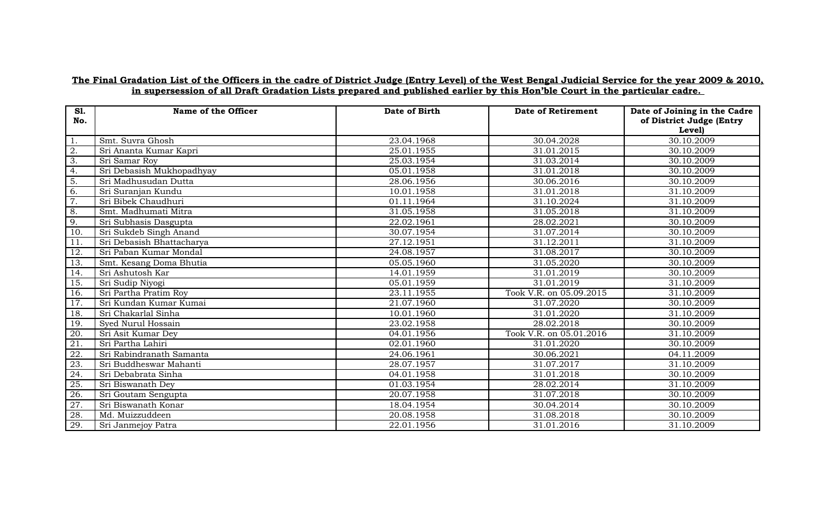## **The Final Gradation List of the Officers in the cadre of District Judge (Entry Level) of the West Bengal Judicial Service for the year 2009 & 2010, in supersession of all Draft Gradation Lists prepared and published earlier by this Hon'ble Court in the particular cadre.**

| <b>S1.</b><br>No. | Name of the Officer       | Date of Birth | <b>Date of Retirement</b> | Date of Joining in the Cadre<br>of District Judge (Entry<br>Level) |
|-------------------|---------------------------|---------------|---------------------------|--------------------------------------------------------------------|
| 1.                | Smt. Suvra Ghosh          | 23.04.1968    | 30.04.2028                | 30.10.2009                                                         |
| 2.                | Sri Ananta Kumar Kapri    | 25.01.1955    | 31.01.2015                | 30.10.2009                                                         |
| 3.                | Sri Samar Roy             | 25.03.1954    | 31.03.2014                | 30.10.2009                                                         |
| 4.                | Sri Debasish Mukhopadhyay | 05.01.1958    | 31.01.2018                | 30.10.2009                                                         |
| 5.                | Sri Madhusudan Dutta      | 28.06.1956    | 30.06.2016                | 30.10.2009                                                         |
| 6.                | Sri Suranjan Kundu        | 10.01.1958    | 31.01.2018                | 31.10.2009                                                         |
| 7.                | Sri Bibek Chaudhuri       | 01.11.1964    | 31.10.2024                | 31.10.2009                                                         |
| 8.                | Smt. Madhumati Mitra      | 31.05.1958    | 31.05.2018                | 31.10.2009                                                         |
| 9.                | Sri Subhasis Dasgupta     | 22.02.1961    | 28.02.2021                | 30.10.2009                                                         |
| 10.               | Sri Sukdeb Singh Anand    | 30.07.1954    | 31.07.2014                | 30.10.2009                                                         |
| 11                | Sri Debasish Bhattacharya | 27.12.1951    | 31.12.2011                | 31.10.2009                                                         |
| 12.               | Sri Paban Kumar Mondal    | 24.08.1957    | 31.08.2017                | 30.10.2009                                                         |
| 13.               | Smt. Kesang Doma Bhutia   | 05.05.1960    | 31.05.2020                | 30.10.2009                                                         |
| 14.               | Sri Ashutosh Kar          | 14.01.1959    | 31.01.2019                | 30.10.2009                                                         |
| 15.               | Sri Sudip Niyogi          | 05.01.1959    | 31.01.2019                | 31.10.2009                                                         |
| 16.               | Sri Partha Pratim Roy     | 23.11.1955    | Took V.R. on 05.09.2015   | 31.10.2009                                                         |
| 17.               | Sri Kundan Kumar Kumai    | 21.07.1960    | 31.07.2020                | 30.10.2009                                                         |
| 18.               | Sri Chakarlal Sinha       | 10.01.1960    | 31.01.2020                | 31.10.2009                                                         |
| 19.               | Syed Nurul Hossain        | 23.02.1958    | 28.02.2018                | 30.10.2009                                                         |
| 20.               | Sri Asit Kumar Dev        | 04.01.1956    | Took V.R. on 05.01.2016   | 31.10.2009                                                         |
| 21.               | Sri Partha Lahiri         | 02.01.1960    | 31.01.2020                | 30.10.2009                                                         |
| 22.               | Sri Rabindranath Samanta  | 24.06.1961    | 30.06.2021                | 04.11.2009                                                         |
| 23.               | Sri Buddheswar Mahanti    | 28.07.1957    | 31.07.2017                | 31.10.2009                                                         |
| 24.               | Sri Debabrata Sinha       | 04.01.1958    | 31.01.2018                | 30.10.2009                                                         |
| 25.               | Sri Biswanath Dev         | 01.03.1954    | 28.02.2014                | 31.10.2009                                                         |
| 26.               | Sri Goutam Sengupta       | 20.07.1958    | 31.07.2018                | 30.10.2009                                                         |
| 27.               | Sri Biswanath Konar       | 18.04.1954    | 30.04.2014                | 30.10.2009                                                         |
| 28.               | Md. Muizzuddeen           | 20.08.1958    | 31.08.2018                | 30.10.2009                                                         |
| 29.               | Sri Janmejoy Patra        | 22.01.1956    | 31.01.2016                | 31.10.2009                                                         |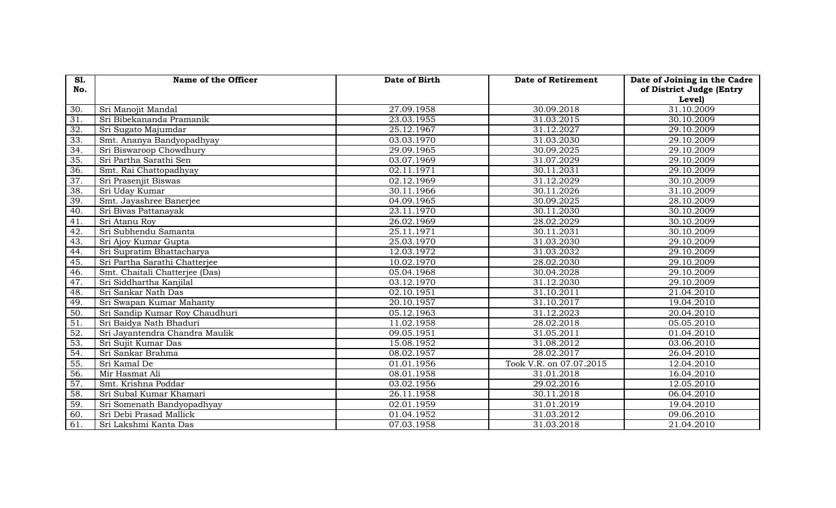| <b>S1.</b>      | Name of the Officer            | Date of Birth | <b>Date of Retirement</b> | Date of Joining in the Cadre |
|-----------------|--------------------------------|---------------|---------------------------|------------------------------|
| No.             |                                |               |                           | of District Judge (Entry     |
| 30.             | Sri Manojit Mandal             | 27.09.1958    | 30.09.2018                | Level)<br>31.10.2009         |
|                 |                                |               |                           |                              |
| 31.             | Sri Bibekananda Pramanik       | 23.03.1955    | 31.03.2015                | 30.10.2009                   |
| 32.             | Sri Sugato Majumdar            | 25.12.1967    | 31.12.2027                | 29.10.2009                   |
| 33.             | Smt. Ananya Bandyopadhyay      | 03.03.1970    | 31.03.2030                | 29.10.2009                   |
| 34.             | Sri Biswaroop Chowdhury        | 29.09.1965    | 30.09.2025                | 29.10.2009                   |
| 35.             | Sri Partha Sarathi Sen         | 03.07.1969    | 31.07.2029                | 29.10.2009                   |
| 36.             | Smt. Rai Chattopadhyay         | 02.11.1971    | 30.11.2031                | 29.10.2009                   |
| 37.             | Sri Prasenjit Biswas           | 02.12.1969    | 31.12.2029                | 30.10.2009                   |
| 38.             | Sri Uday Kumar                 | 30.11.1966    | 30.11.2026                | 31.10.2009                   |
| 39.             | Smt. Jayashree Banerjee        | 04.09.1965    | 30.09.2025                | 28.10.2009                   |
| 40.             | Sri Bivas Pattanayak           | 23.11.1970    | 30.11.2030                | 30.10.2009                   |
| 41.             | Sri Atanu Roy                  | 26.02.1969    | 28.02.2029                | 30.10.2009                   |
| 42.             | Sri Subhendu Samanta           | 25.11.1971    | 30.11.2031                | 30.10.2009                   |
| 43.             | Sri Ajoy Kumar Gupta           | 25.03.1970    | 31.03.2030                | 29.10.2009                   |
| 44.             | Sri Supratim Bhattacharya      | 12.03.1972    | 31.03.2032                | 29.10.2009                   |
| 45.             | Sri Partha Sarathi Chatterjee  | 10.02.1970    | 28.02.2030                | 29.10.2009                   |
| 46.             | Smt. Chaitali Chatterjee (Das) | 05.04.1968    | 30.04.2028                | 29.10.2009                   |
| 47.             | Sri Siddhartha Kanjilal        | 03.12.1970    | 31.12.2030                | 29.10.2009                   |
| 48.             | Sri Sankar Nath Das            | 02.10.1951    | 31.10.2011                | 21.04.2010                   |
| 49.             | Sri Swapan Kumar Mahanty       | 20.10.1957    | 31.10.2017                | 19.04.2010                   |
| 50.             | Sri Sandip Kumar Roy Chaudhuri | 05.12.1963    | 31.12.2023                | 20.04.2010                   |
| $\overline{51}$ | Sri Baidya Nath Bhaduri        | 11.02.1958    | 28.02.2018                | 05.05.2010                   |
| 52.             | Sri Jayantendra Chandra Maulik | 09.05.1951    | 31.05.2011                | 01.04.2010                   |
| 53.             | Sri Sujit Kumar Das            | 15.08.1952    | 31.08.2012                | 03.06.2010                   |
| 54.             | Sri Sankar Brahma              | 08.02.1957    | 28.02.2017                | 26.04.2010                   |
| 55.             | Sri Kamal De                   | 01.01.1956    | Took V.R. on 07.07.2015   | 12.04.2010                   |
| 56.             | Mir Hasmat Ali                 | 08.01.1958    | 31.01.2018                | 16.04.2010                   |
| 57.             | Smt. Krishna Poddar            | 03.02.1956    | 29.02.2016                | 12.05.2010                   |
| 58.             | Sri Subal Kumar Khamari        | 26.11.1958    | 30.11.2018                | 06.04.2010                   |
| 59.             | Sri Somenath Bandyopadhyay     | 02.01.1959    | 31.01.2019                | 19.04.2010                   |
| 60.             | Sri Debi Prasad Mallick        | 01.04.1952    | 31.03.2012                | 09.06.2010                   |
| 61.             | Sri Lakshmi Kanta Das          | 07.03.1958    | 31.03.2018                | 21.04.2010                   |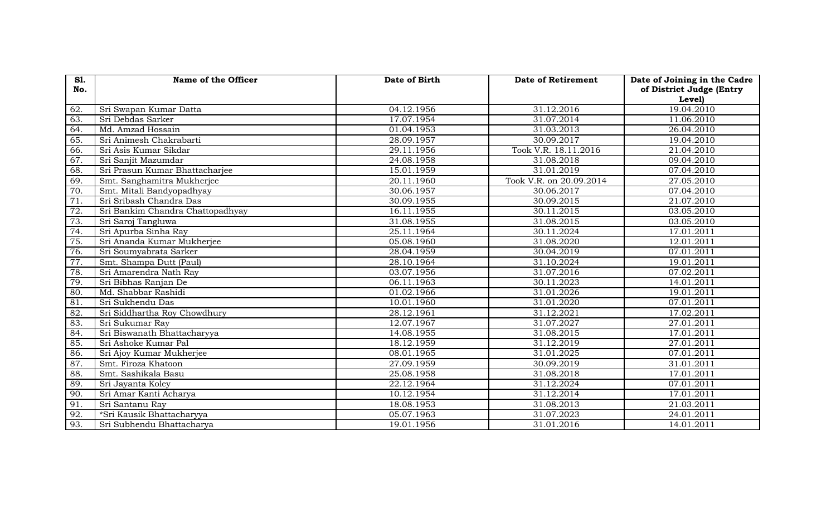| <b>S1.</b><br>No. | Name of the Officer              | Date of Birth | <b>Date of Retirement</b> | Date of Joining in the Cadre<br>of District Judge (Entry |
|-------------------|----------------------------------|---------------|---------------------------|----------------------------------------------------------|
|                   |                                  |               |                           | Level)                                                   |
| 62.               | Sri Swapan Kumar Datta           | 04.12.1956    | 31.12.2016                | 19.04.2010                                               |
| 63.               | Sri Debdas Sarker                | 17.07.1954    | 31.07.2014                | 11.06.2010                                               |
| 64.               | Md. Amzad Hossain                | 01.04.1953    | 31.03.2013                | 26.04.2010                                               |
| 65.               | Sri Animesh Chakrabarti          | 28.09.1957    | 30.09.2017                | 19.04.2010                                               |
| 66.               | Sri Asis Kumar Sikdar            | 29.11.1956    | Took V.R. 18.11.2016      | 21.04.2010                                               |
| 67.               | Sri Sanjit Mazumdar              | 24.08.1958    | 31.08.2018                | 09.04.2010                                               |
| 68.               | Sri Prasun Kumar Bhattacharjee   | 15.01.1959    | 31.01.2019                | 07.04.2010                                               |
| 69.               | Smt. Sanghamitra Mukherjee       | 20.11.1960    | Took V.R. on 20.09.2014   | 27.05.2010                                               |
| 70.               | Smt. Mitali Bandyopadhyay        | 30.06.1957    | 30.06.2017                | 07.04.2010                                               |
| 71.               | Sri Sribash Chandra Das          | 30.09.1955    | 30.09.2015                | 21.07.2010                                               |
| $\overline{72}$ . | Sri Bankim Chandra Chattopadhyay | 16.11.1955    | 30.11.2015                | 03.05.2010                                               |
| 73.               | Sri Saroj Tangluwa               | 31.08.1955    | 31.08.2015                | 03.05.2010                                               |
| 74.               | Sri Apurba Sinha Ray             | 25.11.1964    | 30.11.2024                | 17.01.2011                                               |
| 75.               | Sri Ananda Kumar Mukherjee       | 05.08.1960    | 31.08.2020                | 12.01.2011                                               |
| 76.               | Sri Soumyabrata Sarker           | 28.04.1959    | 30.04.2019                | 07.01.2011                                               |
| 77.               | Smt. Shampa Dutt (Paul)          | 28.10.1964    | 31.10.2024                | 19.01.2011                                               |
| 78.               | Sri Amarendra Nath Ray           | 03.07.1956    | 31.07.2016                | 07.02.2011                                               |
| 79.               | Sri Bibhas Ranjan De             | 06.11.1963    | 30.11.2023                | 14.01.2011                                               |
| 80.               | Md. Shabbar Rashidi              | 01.02.1966    | 31.01.2026                | 19.01.2011                                               |
| 81                | Sri Sukhendu Das                 | 10.01.1960    | 31.01.2020                | 07.01.2011                                               |
| 82.               | Sri Siddhartha Roy Chowdhury     | 28.12.1961    | 31.12.2021                | 17.02.2011                                               |
| 83.               | Sri Sukumar Ray                  | 12.07.1967    | 31.07.2027                | 27.01.2011                                               |
| 84.               | Sri Biswanath Bhattacharyya      | 14.08.1955    | 31.08.2015                | 17.01.2011                                               |
| 85.               | Sri Ashoke Kumar Pal             | 18.12.1959    | 31.12.2019                | 27.01.2011                                               |
| 86.               | Sri Ajoy Kumar Mukherjee         | 08.01.1965    | 31.01.2025                | 07.01.2011                                               |
| 87.               | Smt. Firoza Khatoon              | 27.09.1959    | 30.09.2019                | 31.01.2011                                               |
| 88.               | Smt. Sashikala Basu              | 25.08.1958    | 31.08.2018                | 17.01.2011                                               |
| 89.               | Sri Jayanta Koley                | 22.12.1964    | 31.12.2024                | 07.01.2011                                               |
| 90.               | Sri Amar Kanti Acharya           | 10.12.1954    | 31.12.2014                | 17.01.2011                                               |
| 91.               | Sri Santanu Ray                  | 18.08.1953    | 31.08.2013                | 21.03.2011                                               |
| $\overline{92}$ . | *Sri Kausik Bhattacharyya        | 05.07.1963    | 31.07.2023                | 24.01.2011                                               |
| 93.               | Sri Subhendu Bhattacharya        | 19.01.1956    | 31.01.2016                | 14.01.2011                                               |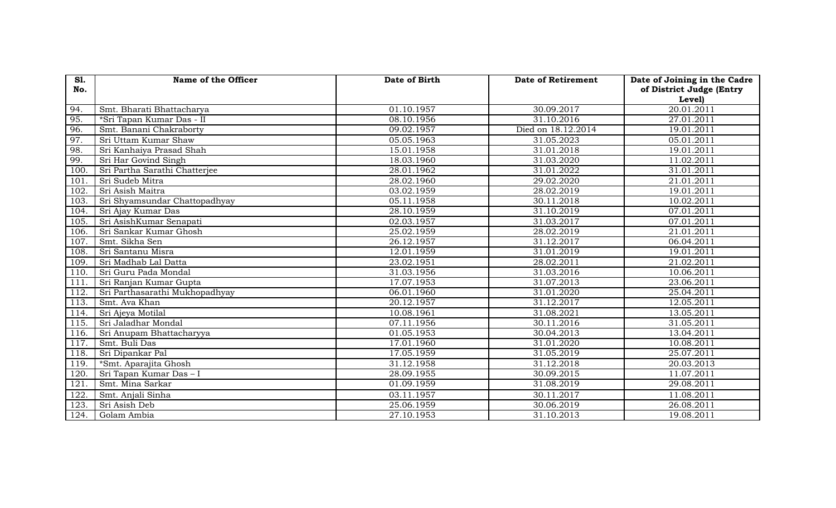| <b>S1.</b> | Name of the Officer            | Date of Birth | <b>Date of Retirement</b> | Date of Joining in the Cadre |
|------------|--------------------------------|---------------|---------------------------|------------------------------|
| No.        |                                |               |                           | of District Judge (Entry     |
| 94.        | Smt. Bharati Bhattacharya      | 01.10.1957    | 30.09.2017                | Level)<br>20.01.2011         |
|            |                                |               |                           |                              |
| 95.        | *Sri Tapan Kumar Das - II      | 08.10.1956    | 31.10.2016                | 27.01.2011                   |
| 96.        | Smt. Banani Chakraborty        | 09.02.1957    | Died on 18.12.2014        | 19.01.2011                   |
| 97.        | Sri Uttam Kumar Shaw           | 05.05.1963    | 31.05.2023                | 05.01.2011                   |
| 98.        | Sri Kanhaiya Prasad Shah       | 15.01.1958    | 31.01.2018                | 19.01.2011                   |
| 99.        | Sri Har Govind Singh           | 18.03.1960    | 31.03.2020                | 11.02.2011                   |
| 100        | Sri Partha Sarathi Chatterjee  | 28.01.1962    | 31.01.2022                | 31.01.2011                   |
| 101        | Sri Sudeb Mitra                | 28.02.1960    | 29.02.2020                | 21.01.2011                   |
| 102.       | Sri Asish Maitra               | 03.02.1959    | 28.02.2019                | 19.01.2011                   |
| 103.       | Sri Shyamsundar Chattopadhyay  | 05.11.1958    | 30.11.2018                | 10.02.2011                   |
| 104.       | Sri Ajay Kumar Das             | 28.10.1959    | 31.10.2019                | 07.01.2011                   |
| 105.       | Sri AsishKumar Senapati        | 02.03.1957    | 31.03.2017                | 07.01.2011                   |
| 106.       | Sri Sankar Kumar Ghosh         | 25.02.1959    | 28.02.2019                | 21.01.2011                   |
| 107.       | Smt. Sikha Sen                 | 26.12.1957    | 31.12.2017                | 06.04.2011                   |
| 108.       | Sri Santanu Misra              | 12.01.1959    | 31.01.2019                | 19.01.2011                   |
| 109.       | Sri Madhab Lal Datta           | 23.02.1951    | 28.02.2011                | 21.02.2011                   |
| 110.       | Sri Guru Pada Mondal           | 31.03.1956    | 31.03.2016                | 10.06.2011                   |
| 111        | Sri Ranjan Kumar Gupta         | 17.07.1953    | 31.07.2013                | 23.06.2011                   |
| 112.       | Sri Parthasarathi Mukhopadhyay | 06.01.1960    | 31.01.2020                | 25.04.2011                   |
| 113.       | Smt. Ava Khan                  | 20.12.1957    | 31.12.2017                | 12.05.2011                   |
| 114.       | Sri Ajeya Motilal              | 10.08.1961    | 31.08.2021                | 13.05.2011                   |
| 115.       | Sri Jaladhar Mondal            | 07.11.1956    | 30.11.2016                | 31.05.2011                   |
| 116.       | Sri Anupam Bhattacharyya       | 01.05.1953    | 30.04.2013                | 13.04.2011                   |
| 117.       | Smt. Buli Das                  | 17.01.1960    | 31.01.2020                | 10.08.2011                   |
| 118.       | Sri Dipankar Pal               | 17.05.1959    | 31.05.2019                | 25.07.2011                   |
| 119.       | *Smt. Aparajita Ghosh          | 31.12.1958    | 31.12.2018                | 20.03.2013                   |
| 120.       | Sri Tapan Kumar Das - I        | 28.09.1955    | 30.09.2015                | 11.07.2011                   |
| 121.       | Smt. Mina Sarkar               | 01.09.1959    | 31.08.2019                | 29.08.2011                   |
| 122.       | Smt. Anjali Sinha              | 03.11.1957    | 30.11.2017                | 11.08.2011                   |
| 123.       | Sri Asish Deb                  | 25.06.1959    | 30.06.2019                | 26.08.2011                   |
| 124.       | Golam Ambia                    | 27.10.1953    | 31.10.2013                | 19.08.2011                   |